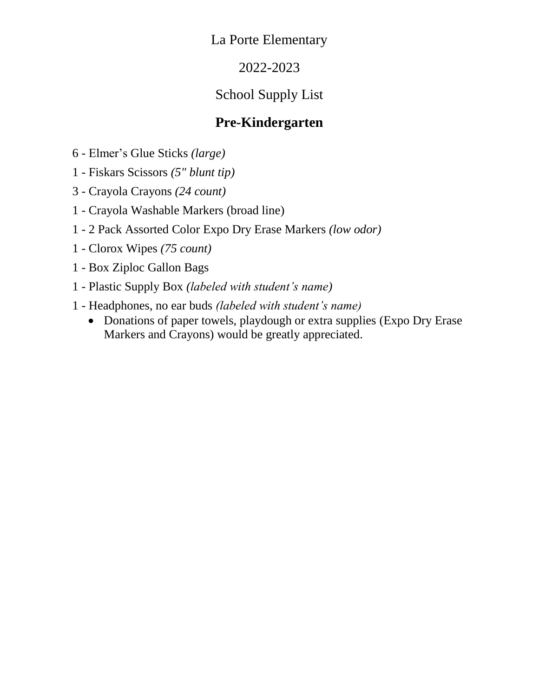#### 2022-2023

### School Supply List

#### **Pre-Kindergarten**

- 6 Elmer's Glue Sticks *(large)*
- 1 Fiskars Scissors *(5" blunt tip)*
- 3 Crayola Crayons *(24 count)*
- 1 Crayola Washable Markers (broad line)
- 1 2 Pack Assorted Color Expo Dry Erase Markers *(low odor)*
- 1 Clorox Wipes *(75 count)*
- 1 Box Ziploc Gallon Bags
- 1 Plastic Supply Box *(labeled with student's name)*
- 1 Headphones, no ear buds *(labeled with student's name)*
	- Donations of paper towels, playdough or extra supplies (Expo Dry Erase) Markers and Crayons) would be greatly appreciated.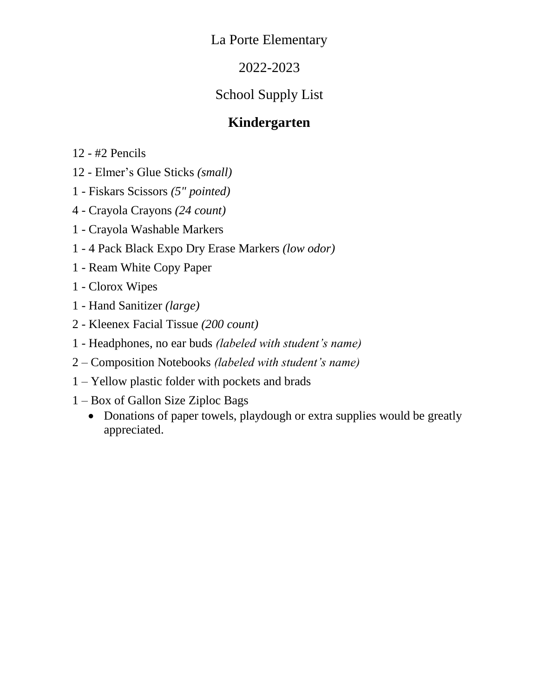### 2022-2023

# School Supply List

### **Kindergarten**

12 - #2 Pencils

- 12 Elmer's Glue Sticks *(small)*
- 1 Fiskars Scissors *(5" pointed)*
- 4 Crayola Crayons *(24 count)*
- 1 Crayola Washable Markers
- 1 4 Pack Black Expo Dry Erase Markers *(low odor)*
- 1 Ream White Copy Paper
- 1 Clorox Wipes
- 1 Hand Sanitizer *(large)*
- 2 Kleenex Facial Tissue *(200 count)*
- 1 Headphones, no ear buds *(labeled with student's name)*
- 2 Composition Notebooks *(labeled with student's name)*
- 1 Yellow plastic folder with pockets and brads
- 1 Box of Gallon Size Ziploc Bags
	- Donations of paper towels, playdough or extra supplies would be greatly appreciated.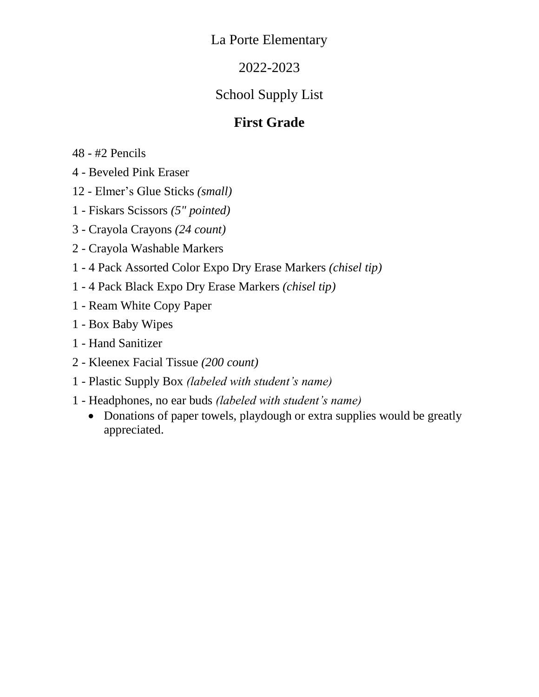### 2022-2023

## School Supply List

### **First Grade**

48 - #2 Pencils

4 - Beveled Pink Eraser

12 - Elmer's Glue Sticks *(small)*

1 - Fiskars Scissors *(5" pointed)*

3 - Crayola Crayons *(24 count)*

2 - Crayola Washable Markers

1 - 4 Pack Assorted Color Expo Dry Erase Markers *(chisel tip)*

1 - 4 Pack Black Expo Dry Erase Markers *(chisel tip)*

1 - Ream White Copy Paper

1 - Box Baby Wipes

1 - Hand Sanitizer

2 - Kleenex Facial Tissue *(200 count)*

1 - Plastic Supply Box *(labeled with student's name)*

1 - Headphones, no ear buds *(labeled with student's name)*

• Donations of paper towels, playdough or extra supplies would be greatly appreciated.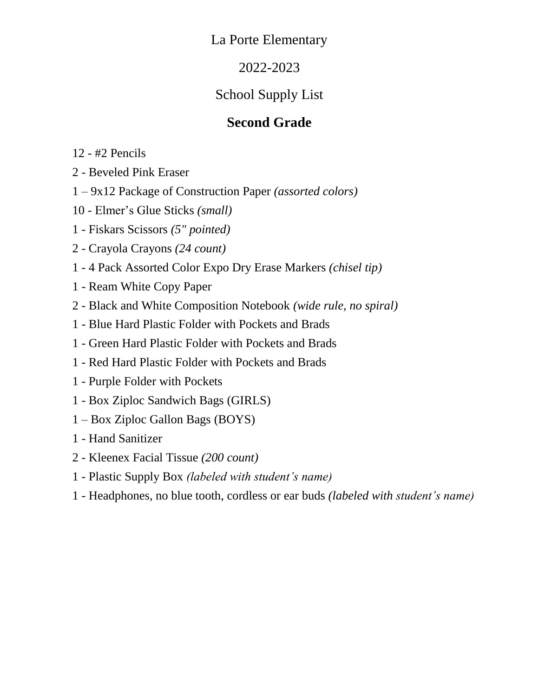### 2022-2023

# School Supply List

## **Second Grade**

- 12 #2 Pencils
- 2 Beveled Pink Eraser
- 1 9x12 Package of Construction Paper *(assorted colors)*
- 10 Elmer's Glue Sticks *(small)*
- 1 Fiskars Scissors *(5" pointed)*
- 2 Crayola Crayons *(24 count)*
- 1 4 Pack Assorted Color Expo Dry Erase Markers *(chisel tip)*
- 1 Ream White Copy Paper
- 2 Black and White Composition Notebook *(wide rule, no spiral)*
- 1 Blue Hard Plastic Folder with Pockets and Brads
- 1 Green Hard Plastic Folder with Pockets and Brads
- 1 Red Hard Plastic Folder with Pockets and Brads
- 1 Purple Folder with Pockets
- 1 Box Ziploc Sandwich Bags (GIRLS)
- 1 Box Ziploc Gallon Bags (BOYS)
- 1 Hand Sanitizer
- 2 Kleenex Facial Tissue *(200 count)*
- 1 Plastic Supply Box *(labeled with student's name)*
- 1 Headphones, no blue tooth, cordless or ear buds *(labeled with student's name)*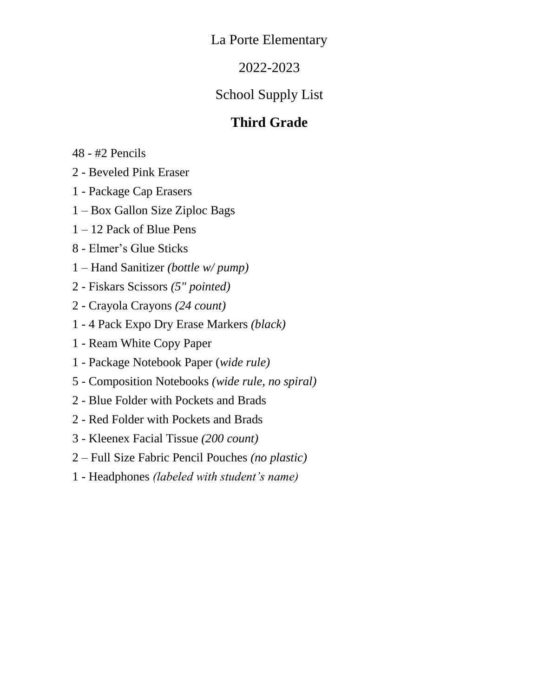### 2022-2023

# School Supply List

# **Third Grade**

48 - #2 Pencils

- 2 Beveled Pink Eraser
- 1 Package Cap Erasers
- 1 Box Gallon Size Ziploc Bags
- 1 12 Pack of Blue Pens
- 8 Elmer's Glue Sticks
- 1 Hand Sanitizer *(bottle w/ pump)*
- 2 Fiskars Scissors *(5" pointed)*
- 2 Crayola Crayons *(24 count)*
- 1 4 Pack Expo Dry Erase Markers *(black)*
- 1 Ream White Copy Paper
- 1 Package Notebook Paper (*wide rule)*
- 5 Composition Notebooks *(wide rule, no spiral)*
- 2 Blue Folder with Pockets and Brads
- 2 Red Folder with Pockets and Brads
- 3 Kleenex Facial Tissue *(200 count)*
- 2 Full Size Fabric Pencil Pouches *(no plastic)*
- 1 Headphones *(labeled with student's name)*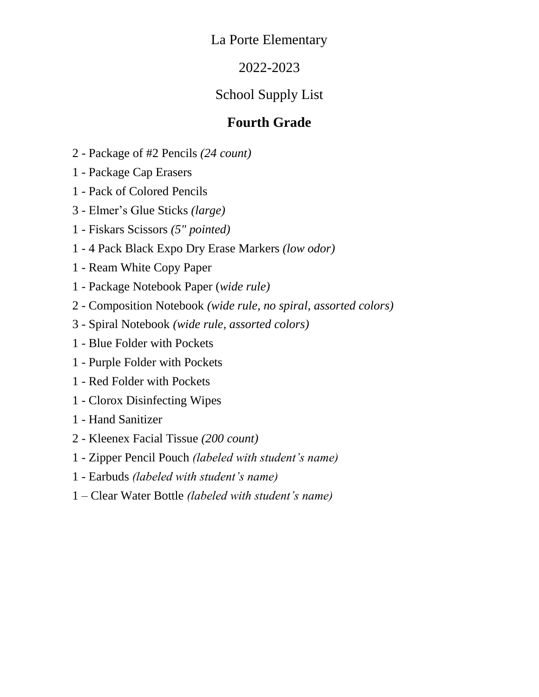### 2022-2023

# School Supply List

## **Fourth Grade**

- 2 Package of #2 Pencils *(24 count)*
- 1 Package Cap Erasers
- 1 Pack of Colored Pencils
- 3 Elmer's Glue Sticks *(large)*
- 1 Fiskars Scissors *(5" pointed)*
- 1 4 Pack Black Expo Dry Erase Markers *(low odor)*
- 1 Ream White Copy Paper
- 1 Package Notebook Paper (*wide rule)*
- 2 Composition Notebook *(wide rule, no spiral, assorted colors)*
- 3 Spiral Notebook *(wide rule, assorted colors)*
- 1 Blue Folder with Pockets
- 1 Purple Folder with Pockets
- 1 Red Folder with Pockets
- 1 Clorox Disinfecting Wipes
- 1 Hand Sanitizer
- 2 Kleenex Facial Tissue *(200 count)*
- 1 Zipper Pencil Pouch *(labeled with student's name)*
- 1 Earbuds *(labeled with student's name)*
- 1 Clear Water Bottle *(labeled with student's name)*